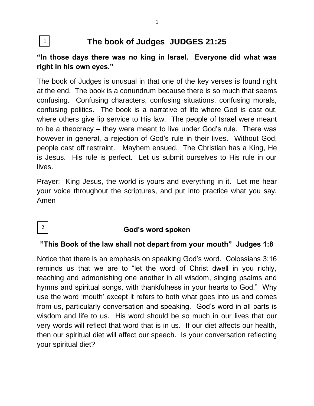#### **The book of Judges JUDGES 21:25** 1

# **"In those days there was no king in Israel. Everyone did what was right in his own eyes."**

The book of Judges is unusual in that one of the key verses is found right at the end. The book is a conundrum because there is so much that seems confusing. Confusing characters, confusing situations, confusing morals, confusing politics. The book is a narrative of life where God is cast out, where others give lip service to His law. The people of Israel were meant to be a theocracy – they were meant to live under God's rule. There was however in general, a rejection of God's rule in their lives. Without God, people cast off restraint. Mayhem ensued. The Christian has a King, He is Jesus. His rule is perfect. Let us submit ourselves to His rule in our lives.

Prayer: King Jesus, the world is yours and everything in it. Let me hear your voice throughout the scriptures, and put into practice what you say. Amen

# **God's word spoken**

2

## **"This Book of the law shall not depart from your mouth" Judges 1:8**

Notice that there is an emphasis on speaking God's word. Colossians 3:16 reminds us that we are to "let the word of Christ dwell in you richly, teaching and admonishing one another in all wisdom, singing psalms and hymns and spiritual songs, with thankfulness in your hearts to God." Why use the word 'mouth' except it refers to both what goes into us and comes from us, particularly conversation and speaking. God's word in all parts is wisdom and life to us. His word should be so much in our lives that our very words will reflect that word that is in us. If our diet affects our health, then our spiritual diet will affect our speech. Is your conversation reflecting your spiritual diet?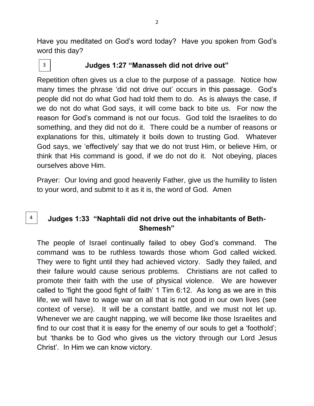Have you meditated on God's word today? Have you spoken from God's word this day?



4

**Judges 1:27 "Manasseh did not drive out"**

Repetition often gives us a clue to the purpose of a passage. Notice how many times the phrase 'did not drive out' occurs in this passage. God's people did not do what God had told them to do. As is always the case, if we do not do what God says, it will come back to bite us. For now the reason for God's command is not our focus. God told the Israelites to do something, and they did not do it. There could be a number of reasons or explanations for this, ultimately it boils down to trusting God. Whatever God says, we 'effectively' say that we do not trust Him, or believe Him, or think that His command is good, if we do not do it. Not obeying, places ourselves above Him.

Prayer: Our loving and good heavenly Father, give us the humility to listen to your word, and submit to it as it is, the word of God. Amen

# **Judges 1:33 "Naphtali did not drive out the inhabitants of Beth-Shemesh"**

The people of Israel continually failed to obey God's command. The command was to be ruthless towards those whom God called wicked. They were to fight until they had achieved victory. Sadly they failed, and their failure would cause serious problems. Christians are not called to promote their faith with the use of physical violence. We are however called to 'fight the good fight of faith' 1 Tim 6:12. As long as we are in this life, we will have to wage war on all that is not good in our own lives (see context of verse). It will be a constant battle, and we must not let up. Whenever we are caught napping, we will become like those Israelites and find to our cost that it is easy for the enemy of our souls to get a 'foothold'; but 'thanks be to God who gives us the victory through our Lord Jesus Christ'. In Him we can know victory.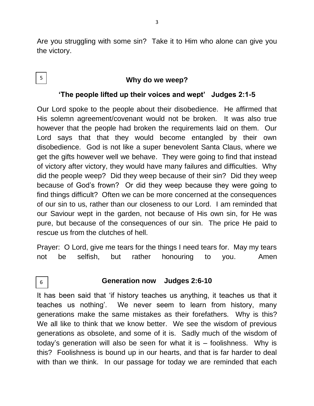Are you struggling with some sin? Take it to Him who alone can give you the victory.

#### **Why do we weep?**

#### **'The people lifted up their voices and wept' Judges 2:1-5**

Our Lord spoke to the people about their disobedience. He affirmed that His solemn agreement/covenant would not be broken. It was also true however that the people had broken the requirements laid on them. Our Lord says that that they would become entangled by their own disobedience. God is not like a super benevolent Santa Claus, where we get the gifts however well we behave. They were going to find that instead of victory after victory, they would have many failures and difficulties. Why did the people weep? Did they weep because of their sin? Did they weep because of God's frown? Or did they weep because they were going to find things difficult? Often we can be more concerned at the consequences of our sin to us, rather than our closeness to our Lord. I am reminded that our Saviour wept in the garden, not because of His own sin, for He was pure, but because of the consequences of our sin. The price He paid to rescue us from the clutches of hell.

Prayer: O Lord, give me tears for the things I need tears for. May my tears not be selfish, but rather honouring to you. Amen

#### 6

5

#### **Generation now Judges 2:6-10**

It has been said that 'if history teaches us anything, it teaches us that it teaches us nothing'. We never seem to learn from history, many generations make the same mistakes as their forefathers. Why is this? We all like to think that we know better. We see the wisdom of previous generations as obsolete, and some of it is. Sadly much of the wisdom of today's generation will also be seen for what it is – foolishness. Why is this? Foolishness is bound up in our hearts, and that is far harder to deal with than we think. In our passage for today we are reminded that each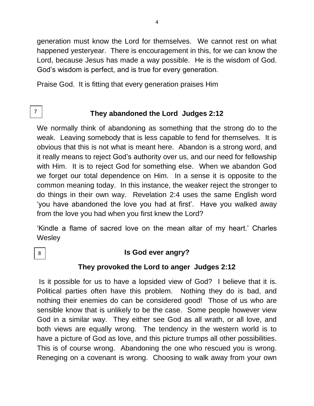generation must know the Lord for themselves. We cannot rest on what happened yesteryear. There is encouragement in this, for we can know the Lord, because Jesus has made a way possible. He is the wisdom of God. God's wisdom is perfect, and is true for every generation.

Praise God. It is fitting that every generation praises Him

7

# **They abandoned the Lord Judges 2:12**

We normally think of abandoning as something that the strong do to the weak. Leaving somebody that is less capable to fend for themselves. It is obvious that this is not what is meant here. Abandon is a strong word, and it really means to reject God's authority over us, and our need for fellowship with Him. It is to reject God for something else. When we abandon God we forget our total dependence on Him. In a sense it is opposite to the common meaning today. In this instance, the weaker reject the stronger to do things in their own way. Revelation 2:4 uses the same English word 'you have abandoned the love you had at first'. Have you walked away from the love you had when you first knew the Lord?

'Kindle a flame of sacred love on the mean altar of my heart.' Charles **Wesley** 

8

## **Is God ever angry?**

## **They provoked the Lord to anger Judges 2:12**

Is it possible for us to have a lopsided view of God? I believe that it is. Political parties often have this problem. Nothing they do is bad, and nothing their enemies do can be considered good! Those of us who are sensible know that is unlikely to be the case. Some people however view God in a similar way. They either see God as all wrath, or all love, and both views are equally wrong. The tendency in the western world is to have a picture of God as love, and this picture trumps all other possibilities. This is of course wrong. Abandoning the one who rescued you is wrong. Reneging on a covenant is wrong. Choosing to walk away from your own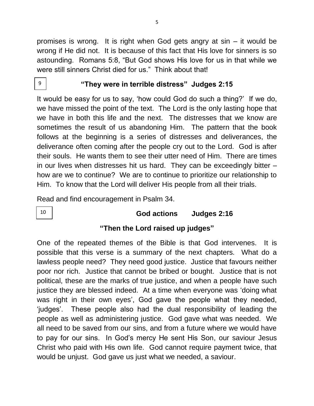promises is wrong. It is right when God gets angry at sin – it would be wrong if He did not. It is because of this fact that His love for sinners is so astounding. Romans 5:8, "But God shows His love for us in that while we were still sinners Christ died for us." Think about that!

9

10

#### **"They were in terrible distress" Judges 2:15**

It would be easy for us to say, 'how could God do such a thing?' If we do, we have missed the point of the text. The Lord is the only lasting hope that we have in both this life and the next. The distresses that we know are sometimes the result of us abandoning Him. The pattern that the book follows at the beginning is a series of distresses and deliverances, the deliverance often coming after the people cry out to the Lord. God is after their souls. He wants them to see their utter need of Him. There are times in our lives when distresses hit us hard. They can be exceedingly bitter – how are we to continue? We are to continue to prioritize our relationship to Him. To know that the Lord will deliver His people from all their trials.

Read and find encouragement in Psalm 34.

## **God actions Judges 2:16**

## **"Then the Lord raised up judges"**

One of the repeated themes of the Bible is that God intervenes. It is possible that this verse is a summary of the next chapters. What do a lawless people need? They need good justice. Justice that favours neither poor nor rich. Justice that cannot be bribed or bought. Justice that is not political, these are the marks of true justice, and when a people have such justice they are blessed indeed. At a time when everyone was 'doing what was right in their own eyes', God gave the people what they needed, 'judges'. These people also had the dual responsibility of leading the people as well as administering justice. God gave what was needed. We all need to be saved from our sins, and from a future where we would have to pay for our sins. In God's mercy He sent His Son, our saviour Jesus Christ who paid with His own life. God cannot require payment twice, that would be unjust. God gave us just what we needed, a saviour.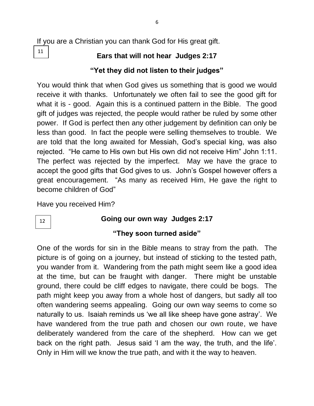# **Ears that will not hear Judges 2:17**

# **"Yet they did not listen to their judges"**

You would think that when God gives us something that is good we would receive it with thanks. Unfortunately we often fail to see the good gift for what it is - good. Again this is a continued pattern in the Bible. The good gift of judges was rejected, the people would rather be ruled by some other power. If God is perfect then any other judgement by definition can only be less than good. In fact the people were selling themselves to trouble. We are told that the long awaited for Messiah, God's special king, was also rejected. "He came to His own but His own did not receive Him" John 1:11. The perfect was rejected by the imperfect. May we have the grace to accept the good gifts that God gives to us. John's Gospel however offers a great encouragement. "As many as received Him, He gave the right to become children of God"

Have you received Him?

# 12

11

# **Going our own way Judges 2:17**

# **"They soon turned aside"**

One of the words for sin in the Bible means to stray from the path. The picture is of going on a journey, but instead of sticking to the tested path, you wander from it. Wandering from the path might seem like a good idea at the time, but can be fraught with danger. There might be unstable ground, there could be cliff edges to navigate, there could be bogs. The path might keep you away from a whole host of dangers, but sadly all too often wandering seems appealing. Going our own way seems to come so naturally to us. Isaiah reminds us 'we all like sheep have gone astray'. We have wandered from the true path and chosen our own route, we have deliberately wandered from the care of the shepherd. How can we get back on the right path. Jesus said 'I am the way, the truth, and the life'. Only in Him will we know the true path, and with it the way to heaven.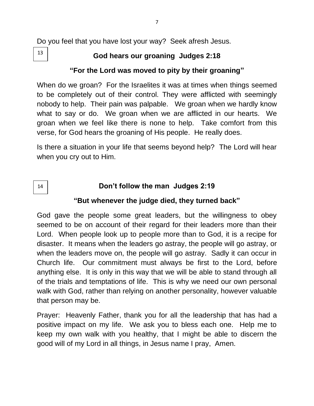Do you feel that you have lost your way? Seek afresh Jesus.

13

14

# **God hears our groaning Judges 2:18**

## **"For the Lord was moved to pity by their groaning"**

When do we groan? For the Israelites it was at times when things seemed to be completely out of their control. They were afflicted with seemingly nobody to help. Their pain was palpable. We groan when we hardly know what to say or do. We groan when we are afflicted in our hearts. We groan when we feel like there is none to help. Take comfort from this verse, for God hears the groaning of His people. He really does.

Is there a situation in your life that seems beyond help? The Lord will hear when you cry out to Him.

# **Don't follow the man Judges 2:19**

#### **"But whenever the judge died, they turned back"**

God gave the people some great leaders, but the willingness to obey seemed to be on account of their regard for their leaders more than their Lord. When people look up to people more than to God, it is a recipe for disaster. It means when the leaders go astray, the people will go astray, or when the leaders move on, the people will go astray. Sadly it can occur in Church life. Our commitment must always be first to the Lord, before anything else. It is only in this way that we will be able to stand through all of the trials and temptations of life. This is why we need our own personal walk with God, rather than relying on another personality, however valuable that person may be.

Prayer: Heavenly Father, thank you for all the leadership that has had a positive impact on my life. We ask you to bless each one. Help me to keep my own walk with you healthy, that I might be able to discern the good will of my Lord in all things, in Jesus name I pray, Amen.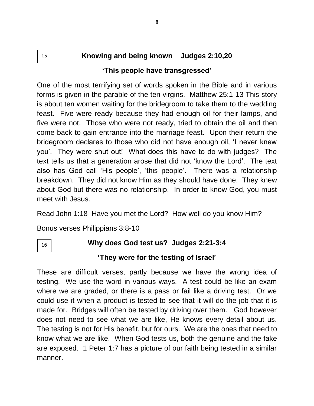# **Knowing and being known Judges 2:10,20 'This people have transgressed'**

One of the most terrifying set of words spoken in the Bible and in various forms is given in the parable of the ten virgins. Matthew 25:1-13 This story is about ten women waiting for the bridegroom to take them to the wedding feast. Five were ready because they had enough oil for their lamps, and five were not. Those who were not ready, tried to obtain the oil and then come back to gain entrance into the marriage feast. Upon their return the bridegroom declares to those who did not have enough oil, 'I never knew you'. They were shut out! What does this have to do with judges? The text tells us that a generation arose that did not 'know the Lord'. The text also has God call 'His people', 'this people'. There was a relationship breakdown. They did not know Him as they should have done. They knew about God but there was no relationship. In order to know God, you must meet with Jesus.

Read John 1:18 Have you met the Lord? How well do you know Him?

Bonus verses Philippians 3:8-10

16

15

# **Why does God test us? Judges 2:21-3:4**

## **'They were for the testing of Israel'**

These are difficult verses, partly because we have the wrong idea of testing. We use the word in various ways. A test could be like an exam where we are graded, or there is a pass or fail like a driving test. Or we could use it when a product is tested to see that it will do the job that it is made for. Bridges will often be tested by driving over them. God however does not need to see what we are like, He knows every detail about us. The testing is not for His benefit, but for ours. We are the ones that need to know what we are like. When God tests us, both the genuine and the fake are exposed. 1 Peter 1:7 has a picture of our faith being tested in a similar manner.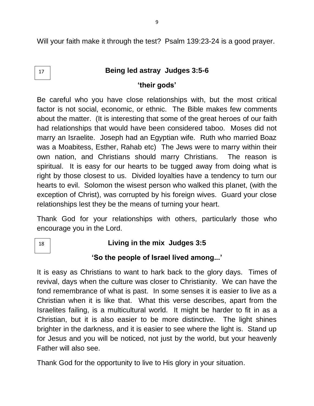Will your faith make it through the test? Psalm 139:23-24 is a good prayer.

## **Being led astray Judges 3:5-6**

## **'their gods'**

Be careful who you have close relationships with, but the most critical factor is not social, economic, or ethnic. The Bible makes few comments about the matter. (It is interesting that some of the great heroes of our faith had relationships that would have been considered taboo. Moses did not marry an Israelite. Joseph had an Egyptian wife. Ruth who married Boaz was a Moabitess, Esther, Rahab etc) The Jews were to marry within their own nation, and Christians should marry Christians. The reason is spiritual. It is easy for our hearts to be tugged away from doing what is right by those closest to us. Divided loyalties have a tendency to turn our hearts to evil. Solomon the wisest person who walked this planet, (with the exception of Christ), was corrupted by his foreign wives. Guard your close relationships lest they be the means of turning your heart.

Thank God for your relationships with others, particularly those who encourage you in the Lord.

18

17

# **Living in the mix Judges 3:5**

# **'So the people of Israel lived among...'**

It is easy as Christians to want to hark back to the glory days. Times of revival, days when the culture was closer to Christianity. We can have the fond remembrance of what is past. In some senses it is easier to live as a Christian when it is like that. What this verse describes, apart from the Israelites failing, is a multicultural world. It might be harder to fit in as a Christian, but it is also easier to be more distinctive. The light shines brighter in the darkness, and it is easier to see where the light is. Stand up for Jesus and you will be noticed, not just by the world, but your heavenly Father will also see.

Thank God for the opportunity to live to His glory in your situation.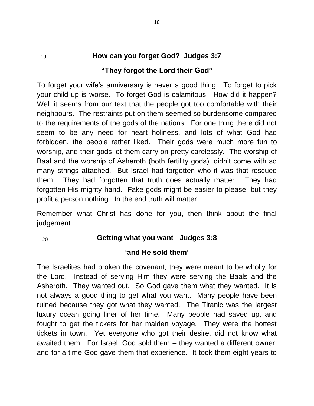#### **How can you forget God? Judges 3:7 "They forgot the Lord their God"** 19

To forget your wife's anniversary is never a good thing. To forget to pick your child up is worse. To forget God is calamitous. How did it happen? Well it seems from our text that the people got too comfortable with their neighbours. The restraints put on them seemed so burdensome compared to the requirements of the gods of the nations. For one thing there did not seem to be any need for heart holiness, and lots of what God had forbidden, the people rather liked. Their gods were much more fun to worship, and their gods let them carry on pretty carelessly. The worship of Baal and the worship of Asheroth (both fertility gods), didn't come with so many strings attached. But Israel had forgotten who it was that rescued them. They had forgotten that truth does actually matter. They had forgotten His mighty hand. Fake gods might be easier to please, but they profit a person nothing. In the end truth will matter.

Remember what Christ has done for you, then think about the final judgement.

20

## **Getting what you want Judges 3:8**

## **'and He sold them'**

The Israelites had broken the covenant, they were meant to be wholly for the Lord. Instead of serving Him they were serving the Baals and the Asheroth. They wanted out. So God gave them what they wanted. It is not always a good thing to get what you want. Many people have been ruined because they got what they wanted. The Titanic was the largest luxury ocean going liner of her time. Many people had saved up, and fought to get the tickets for her maiden voyage. They were the hottest tickets in town. Yet everyone who got their desire, did not know what awaited them. For Israel, God sold them – they wanted a different owner, and for a time God gave them that experience. It took them eight years to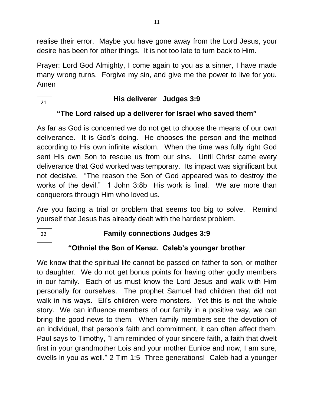realise their error. Maybe you have gone away from the Lord Jesus, your desire has been for other things. It is not too late to turn back to Him.

Prayer: Lord God Almighty, I come again to you as a sinner, I have made many wrong turns. Forgive my sin, and give me the power to live for you. Amen

21

## **His deliverer Judges 3:9**

# **"The Lord raised up a deliverer for Israel who saved them"**

As far as God is concerned we do not get to choose the means of our own deliverance. It is God's doing. He chooses the person and the method according to His own infinite wisdom. When the time was fully right God sent His own Son to rescue us from our sins. Until Christ came every deliverance that God worked was temporary. Its impact was significant but not decisive. "The reason the Son of God appeared was to destroy the works of the devil." 1 John 3:8b His work is final. We are more than conquerors through Him who loved us.

Are you facing a trial or problem that seems too big to solve. Remind yourself that Jesus has already dealt with the hardest problem.

22

# **Family connections Judges 3:9**

# **"Othniel the Son of Kenaz. Caleb's younger brother**

We know that the spiritual life cannot be passed on father to son, or mother to daughter. We do not get bonus points for having other godly members in our family. Each of us must know the Lord Jesus and walk with Him personally for ourselves. The prophet Samuel had children that did not walk in his ways. Eli's children were monsters. Yet this is not the whole story. We can influence members of our family in a positive way, we can bring the good news to them. When family members see the devotion of an individual, that person's faith and commitment, it can often affect them. Paul says to Timothy, "I am reminded of your sincere faith, a faith that dwelt first in your grandmother Lois and your mother Eunice and now, I am sure, dwells in you as well." 2 Tim 1:5 Three generations! Caleb had a younger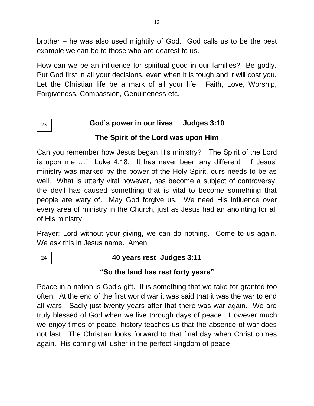brother – he was also used mightily of God. God calls us to be the best example we can be to those who are dearest to us.

How can we be an influence for spiritual good in our families? Be godly. Put God first in all your decisions, even when it is tough and it will cost you. Let the Christian life be a mark of all your life. Faith, Love, Worship, Forgiveness, Compassion, Genuineness etc.

# **God's power in our lives Judges 3:10 The Spirit of the Lord was upon Him**

Can you remember how Jesus began His ministry? "The Spirit of the Lord is upon me …" Luke 4:18. It has never been any different. If Jesus' ministry was marked by the power of the Holy Spirit, ours needs to be as well. What is utterly vital however, has become a subject of controversy, the devil has caused something that is vital to become something that people are wary of. May God forgive us. We need His influence over every area of ministry in the Church, just as Jesus had an anointing for all of His ministry.

Prayer: Lord without your giving, we can do nothing. Come to us again. We ask this in Jesus name. Amen

24

23

# **40 years rest Judges 3:11**

# **"So the land has rest forty years"**

Peace in a nation is God's gift. It is something that we take for granted too often. At the end of the first world war it was said that it was the war to end all wars. Sadly just twenty years after that there was war again. We are truly blessed of God when we live through days of peace. However much we enjoy times of peace, history teaches us that the absence of war does not last. The Christian looks forward to that final day when Christ comes again. His coming will usher in the perfect kingdom of peace.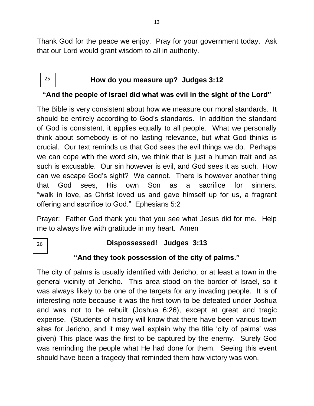Thank God for the peace we enjoy. Pray for your government today. Ask that our Lord would grant wisdom to all in authority.

#### **How do you measure up? Judges 3:12** 25

## **"And the people of Israel did what was evil in the sight of the Lord"**

The Bible is very consistent about how we measure our moral standards. It should be entirely according to God's standards. In addition the standard of God is consistent, it applies equally to all people. What we personally think about somebody is of no lasting relevance, but what God thinks is crucial. Our text reminds us that God sees the evil things we do. Perhaps we can cope with the word sin, we think that is just a human trait and as such is excusable. Our sin however is evil, and God sees it as such. How can we escape God's sight? We cannot. There is however another thing that God sees, His own Son as a sacrifice for sinners. "walk in love, as Christ loved us and gave himself up for us, a fragrant offering and sacrifice to God." Ephesians 5:2

Prayer: Father God thank you that you see what Jesus did for me. Help me to always live with gratitude in my heart. Amen

26

## **Dispossessed! Judges 3:13**

# **"And they took possession of the city of palms."**

The city of palms is usually identified with Jericho, or at least a town in the general vicinity of Jericho. This area stood on the border of Israel, so it was always likely to be one of the targets for any invading people. It is of interesting note because it was the first town to be defeated under Joshua and was not to be rebuilt (Joshua 6:26), except at great and tragic expense. (Students of history will know that there have been various town sites for Jericho, and it may well explain why the title 'city of palms' was given) This place was the first to be captured by the enemy. Surely God was reminding the people what He had done for them. Seeing this event should have been a tragedy that reminded them how victory was won.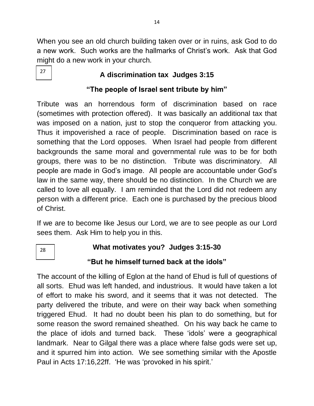When you see an old church building taken over or in ruins, ask God to do a new work. Such works are the hallmarks of Christ's work. Ask that God might do a new work in your church.

27

# **A discrimination tax Judges 3:15**

# **"The people of Israel sent tribute by him"**

Tribute was an horrendous form of discrimination based on race (sometimes with protection offered). It was basically an additional tax that was imposed on a nation, just to stop the conqueror from attacking you. Thus it impoverished a race of people. Discrimination based on race is something that the Lord opposes. When Israel had people from different backgrounds the same moral and governmental rule was to be for both groups, there was to be no distinction. Tribute was discriminatory. All people are made in God's image. All people are accountable under God's law in the same way, there should be no distinction. In the Church we are called to love all equally. I am reminded that the Lord did not redeem any person with a different price. Each one is purchased by the precious blood of Christ.

If we are to become like Jesus our Lord, we are to see people as our Lord sees them. Ask Him to help you in this.

28

**What motivates you? Judges 3:15-30**

# **"But he himself turned back at the idols"**

The account of the killing of Eglon at the hand of Ehud is full of questions of all sorts. Ehud was left handed, and industrious. It would have taken a lot of effort to make his sword, and it seems that it was not detected. The party delivered the tribute, and were on their way back when something triggered Ehud. It had no doubt been his plan to do something, but for some reason the sword remained sheathed. On his way back he came to the place of idols and turned back. These 'idols' were a geographical landmark. Near to Gilgal there was a place where false gods were set up, and it spurred him into action. We see something similar with the Apostle Paul in Acts 17:16,22ff. 'He was 'provoked in his spirit.'